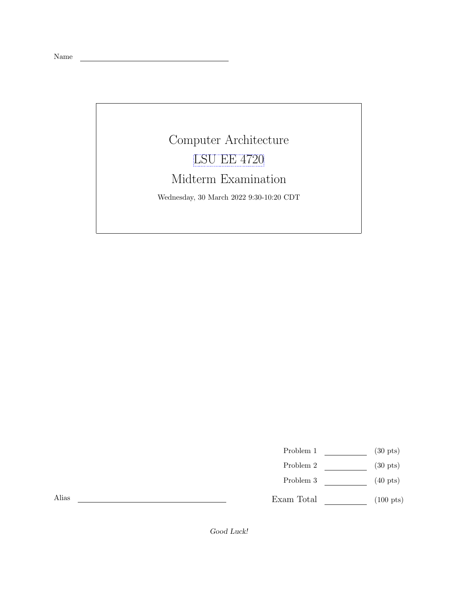Name

## Computer Architecture [LSU EE 4720](https://www.ece.lsu.edu/ee4720/) Midterm Examination Wednesday, 30 March 2022 9:30-10:20 CDT

<u> 1980 - Johann Barbara, martxa alemaniar a</u>

Problem 1  $\qquad \qquad$  (30 pts)

- Problem 2  $\qquad \qquad$  (30 pts)
- Problem 3 (40 pts)

Exam Total  $\qquad \qquad (100 \text{ pts})$ 

Alias

Good Luck!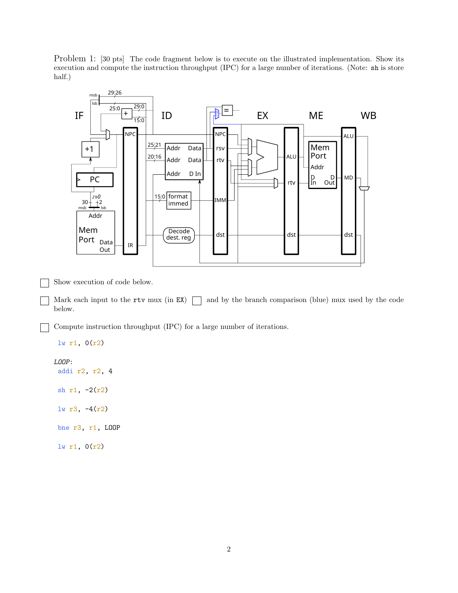Problem 1: [30 pts] The code fragment below is to execute on the illustrated implementation. Show its execution and compute the instruction throughput (IPC) for a large number of iterations. (Note: sh is store half.)



Show execution of code below.

Mark each input to the rtv mux (in  $EX$ )  $\Box$  and by the branch comparison (blue) mux used by the code below.

Compute instruction throughput (IPC) for a large number of iterations.

```
lw r1, 0(r2)
LOOP:
 addi r2, r2, 4
sh r1, -2(r2)
lw r3, -4(r2)
bne r3, r1, LOOP
 lw r1, 0(r2)
```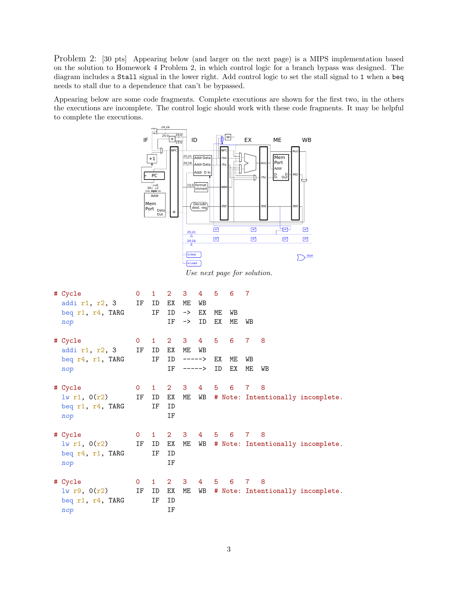Problem 2: [30 pts] Appearing below (and larger on the next page) is a MIPS implementation based on the solution to Homework 4 Problem 2, in which control logic for a branch bypass was designed. The diagram includes a Stall signal in the lower right. Add control logic to set the stall signal to 1 when a beq needs to stall due to a dependence that can't be bypassed.

Appearing below are some code fragments. Complete executions are shown for the first two, in the others the executions are incomplete. The control logic should work with these code fragments. It may be helpful to complete the executions.



Use next page for solution.

| # Cycle<br>addi $r1$ , $r2$ , 3<br>beq r1, r4, TARG<br>nop   | $\mathbf{O}$<br>IF | $\mathbf{1}$<br>ID<br>IF | $\overline{2}$<br>ЕX<br>ID<br>ΙF | 3<br>МE<br>-><br>$\rightarrow$ | 4<br>WB<br>EX<br>ID | 5<br>МE<br>ЕX | 6<br>WB<br>ME | 7<br>WB                 |         |                                         |
|--------------------------------------------------------------|--------------------|--------------------------|----------------------------------|--------------------------------|---------------------|---------------|---------------|-------------------------|---------|-----------------------------------------|
| # Cycle<br>addi r1, r2, 3<br>beq $r4$ , $r1$ , TARG<br>nop   | $\mathsf{O}$<br>IF | $\mathbf{1}$<br>ID<br>IF | $2 \quad 3$<br>ΕX<br>ID<br>IF    | МE<br>-----><br>$---->$        | $4^{\circ}$<br>WВ   | 5<br>ЕX<br>ID | 6<br>МE<br>EX | $7^{\circ}$<br>WB<br>ME | 8<br>WB |                                         |
| # Cycle<br>$lw$ r1, $0(r2)$<br>beq r1, r4, TARG<br>nop       | $\mathsf{O}$<br>IF | $\mathbf{1}$<br>ID<br>IF | $2^{\circ}$<br>ΕX<br>ID<br>ΙF    | 3                              | $4^{\circ}$         | 5             | 6             | $7^{\circ}$             | 8       | ME WB # Note: Intentionally incomplete. |
| # Cycle<br>$lw$ r1, $0(r2)$<br>beq $r4$ , $r1$ , TARG<br>nop | $\mathsf{O}$<br>ΙF | $\mathbf{1}$<br>ID<br>ΙF | $\overline{2}$<br>ΕX<br>ID<br>IF | 3<br>ME                        | 4<br>WB             | 5             | 6             | $7\phantom{.}$          | 8       | # Note: Intentionally incomplete.       |
| # Cycle<br>1w r9, 0(r2)<br>beq $r1$ , $r4$ , TARG<br>nop     | $\mathbf{0}$<br>IF | $\mathbf{1}$<br>ID<br>ΙF | $\overline{2}$<br>ΕX<br>ID<br>ΙF | 3<br>ME                        | 4<br>WB             | 5             | 6             | $7^{\circ}$             | 8       | # Note: Intentionally incomplete.       |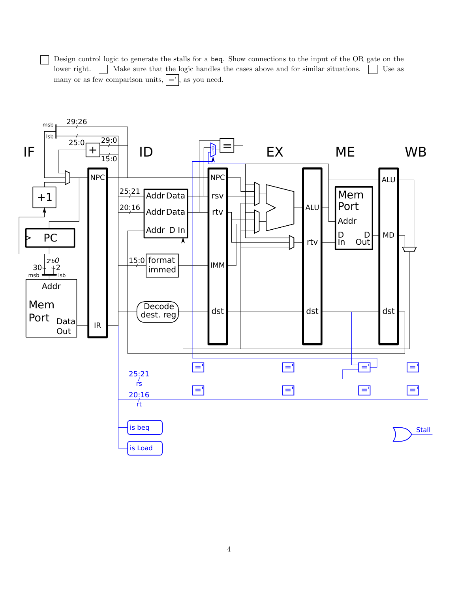Design control logic to generate the stalls for a beq. Show connections to the input of the OR gate on the lower right. Make sure that the logic handles the cases above and for similar situations. Use as many or as few comparison units,  $| =' |$ , as you need.

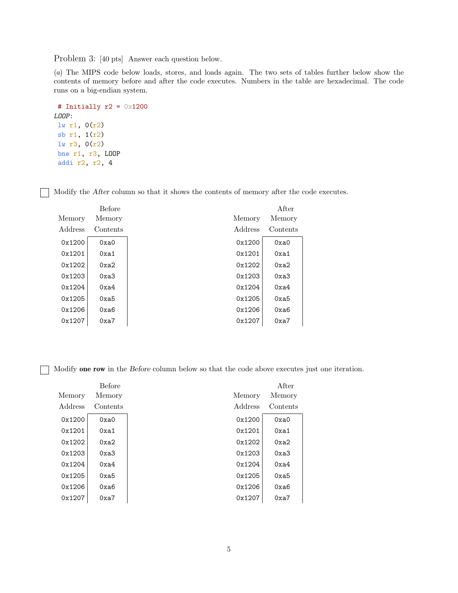Problem 3: [40 pts] Answer each question below.

(a) The MIPS code below loads, stores, and loads again. The two sets of tables further below show the contents of memory before and after the code executes. Numbers in the table are hexadecimal. The code runs on a big-endian system.

```
# Initially r2 = 0x1200
LOOP:
lw r1, 0(r2)
sb r1, 1(r2)
lw r3, 0(r2)
bne r1, r3, LOOP
 addi r2, r2, 4
```
Modify the After column so that it shows the contents of memory after the code executes.

|         | <b>Before</b> |         | After    |
|---------|---------------|---------|----------|
| Memory  | Memory        | Memory  | Memory   |
| Address | Contents      | Address | Contents |
| 0x1200  | 0xa0          | 0x1200  | 0xa0     |
| 0x1201  | 0xa1          | 0x1201  | 0xa1     |
| 0x1202  | 0xa2          | 0x1202  | 0xa2     |
| 0x1203  | 0xa3          | 0x1203  | 0xa3     |
| 0x1204  | 0xa4          | 0x1204  | 0xa4     |
| 0x1205  | 0xa5          | 0x1205  | 0xa5     |
| 0x1206  | 0xa6          | 0x1206  | 0xa6     |
| 0x1207  | 0xa7          | 0x1207  | 0xa7     |

Modify one row in the Before column below so that the code above executes just one iteration.

|         | <b>Before</b> |         | After    |
|---------|---------------|---------|----------|
| Memory  | Memory        | Memory  | Memory   |
| Address | Contents      | Address | Contents |
| 0x1200  | 0xa0          | 0x1200  | 0xa0     |
| 0x1201  | 0xa1          | 0x1201  | 0xa1     |
| 0x1202  | 0xa2          | 0x1202  | 0xa2     |
| 0x1203  | 0xa3          | 0x1203  | 0xa3     |
| 0x1204  | 0xa4          | 0x1204  | 0xa4     |
| 0x1205  | 0xa5          | 0x1205  | 0xa5     |
| 0x1206  | 0xa6          | 0x1206  | 0xa6     |
| 0x1207  | 0xa7          | 0x1207  | 0xa7     |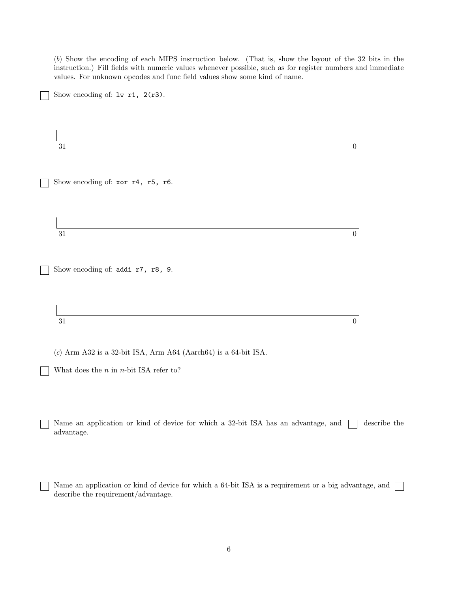(b) Show the encoding of each MIPS instruction below. (That is, show the layout of the 32 bits in the instruction.) Fill fields with numeric values whenever possible, such as for register numbers and immediate values. For unknown opcodes and func field values show some kind of name.

 $31$  0 Show encoding of: xor r4, r5, r6.  $31$  0 Show encoding of: addi r7, r8, 9.  $31$  0

(c) Arm A32 is a 32-bit ISA, Arm A64 (Aarch64) is a 64-bit ISA.

What does the *n* in *n*-bit ISA refer to?

Show encoding of: lw r1, 2(r3).

Name an application or kind of device for which a 32-bit ISA has an advantage, and  $\Box$  describe the advantage.

Name an application or kind of device for which a 64-bit ISA is a requirement or a big advantage, and  $\Box$ describe the requirement/advantage.